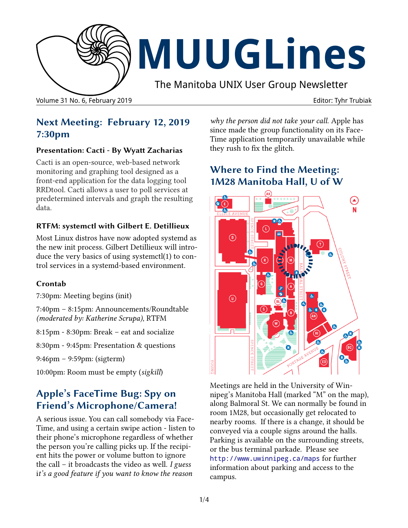

# **MUUGLines**

The Manitoba UNIX User Group Newsletter

Volume 31 No. 6, February 2019 Editor: Tyhr Trubiak

## **Next Meeting: February 12, 2019 7:30pm**

#### **Presentation: Cacti - By Wyatt Zacharias**

Cacti is an open-source, web-based network monitoring and graphing tool designed as a front-end application for the data logging tool RRDtool. Cacti allows a user to poll services at predetermined intervals and graph the resulting data.

#### **RTFM: systemctl with Gilbert E. Detillieux**

Most Linux distros have now adopted systemd as the new init process. Gilbert Detillieux will introduce the very basics of using systemctl(1) to control services in a systemd-based environment.

#### **Crontab**

7:30pm: Meeting begins (init)

7:40pm – 8:15pm: Announcements/Roundtable *(moderated by: Katherine Scrupa)*, RTFM

8:15pm - 8:30pm: Break – eat and socialize

8:30pm - 9:45pm: Presentation & questions

9:46pm – 9:59pm: (sigterm)

10:00pm: Room must be empty (*sigkill*)

# **Apple's FaceTime Bug: Spy on Friend's Microphone/Camera!**

A serious issue. You can call somebody via Face-Time, and using a certain swipe action - listen to their phone's microphone regardless of whether the person you're calling picks up. If the recipient hits the power or volume button to ignore the call – it broadcasts the video as well. *I guess* i*t's a good feature if you want to know the reason* 

*why the person did not take your call.* Apple has since made the group functionality on its Face-Time application temporarily unavailable while they rush to fix the glitch.

# **Where to Find the Meeting: 1M28 Manitoba Hall, U of W**



Meetings are held in the University of Winnipeg's Manitoba Hall (marked "M" on the map), along Balmoral St. We can normally be found in room 1M28, but occasionally get relocated to nearby rooms. If there is a change, it should be conveyed via a couple signs around the halls. Parking is available on the surrounding streets, or the bus terminal parkade. Please see <http://www.uwinnipeg.ca/maps> for further information about parking and access to the campus.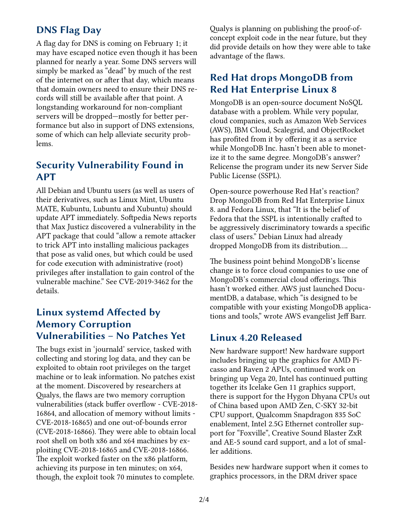## **DNS Flag Day**

A flag day for DNS is coming on February 1; it may have escaped notice even though it has been planned for nearly a year. Some DNS servers will simply be marked as "dead" by much of the rest of the internet on or after that day, which means that domain owners need to ensure their DNS records will still be available after that point. A longstanding workaround for non-compliant servers will be dropped—mostly for better performance but also in support of DNS extensions, some of which can help alleviate security problems.

#### **Security Vulnerability Found in APT**

All Debian and Ubuntu users (as well as users of their derivatives, such as Linux Mint, Ubuntu MATE, Kubuntu, Lubuntu and Xubuntu) should update APT immediately. Softpedia News reports that Max Justicz discovered a vulnerability in the APT package that could "allow a remote attacker to trick APT into installing malicious packages that pose as valid ones, but which could be used for code execution with administrative (root) privileges after installation to gain control of the vulnerable machine." See CVE-2019-3462 for the details.

#### **Linux systemd Affected by Memory Corruption Vulnerabilities – No Patches Yet**

The bugs exist in 'journald' service, tasked with collecting and storing log data, and they can be exploited to obtain root privileges on the target machine or to leak information. No patches exist at the moment. Discovered by researchers at Qualys, the flaws are two memory corruption vulnerabilities (stack buffer overflow - CVE-2018- 16864, and allocation of memory without limits - CVE-2018-16865) and one out-of-bounds error (CVE-2018-16866). They were able to obtain local root shell on both x86 and x64 machines by exploiting CVE-2018-16865 and CVE-2018-16866. The exploit worked faster on the x86 platform, achieving its purpose in ten minutes; on x64, though, the exploit took 70 minutes to complete.

Qualys is planning on publishing the proof-ofconcept exploit code in the near future, but they did provide details on how they were able to take advantage of the flaws.

#### **Red Hat drops MongoDB from Red Hat Enterprise Linux 8**

MongoDB is an open-source document NoSQL database with a problem. While very popular, cloud companies, such as Amazon Web Services (AWS), IBM Cloud, Scalegrid, and ObjectRocket has profited from it by offering it as a service while MongoDB Inc. hasn't been able to monetize it to the same degree. MongoDB's answer? Relicense the program under its new Server Side Public License (SSPL).

Open-source powerhouse Red Hat's reaction? Drop MongoDB from Red Hat Enterprise Linux 8. and Fedora Linux, that "It is the belief of Fedora that the SSPL is intentionally crafted to be aggressively discriminatory towards a specific class of users." Debian Linux had already dropped MongoDB from its distribution....

The business point behind MongoDB's license change is to force cloud companies to use one of MongoDB's commercial cloud offerings. This hasn't worked either. AWS just launched DocumentDB, a database, which "is designed to be compatible with your existing MongoDB applications and tools," wrote AWS evangelist Jeff Barr.

#### **Linux 4.20 Released**

New hardware support! New hardware support includes bringing up the graphics for AMD Picasso and Raven 2 APUs, continued work on bringing up Vega 20, Intel has continued putting together its Icelake Gen 11 graphics support, there is support for the Hygon Dhyana CPUs out of China based upon AMD Zen, C-SKY 32-bit CPU support, Qualcomm Snapdragon 835 SoC enablement, Intel 2.5G Ethernet controller support for "Foxville", Creative Sound Blaster ZxR and AE-5 sound card support, and a lot of smaller additions.

Besides new hardware support when it comes to graphics processors, in the DRM driver space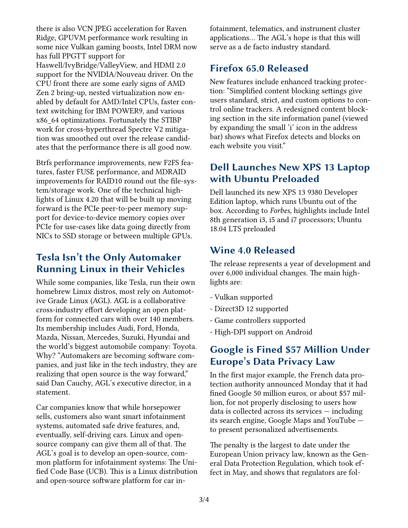there is also VCN JPEG acceleration for Raven Ridge, GPUVM performance work resulting in some nice Vulkan gaming boosts, Intel DRM now has full PPGTT support for Haswell/IvyBridge/ValleyView, and HDMI 2.0 support for the NVIDIA/Nouveau driver. On the CPU front there are some early signs of AMD Zen 2 bring-up, nested virtualization now enabled by default for AMD/Intel CPUs, faster context switching for IBM POWER9, and various x86\_64 optimizations. Fortunately the STIBP work for cross-hyperthread Spectre V2 mitigation was smoothed out over the release candidates that the performance there is all good now.

Btrfs performance improvements, new F2FS features, faster FUSE performance, and MDRAID improvements for RAID10 round out the file-system/storage work. One of the technical highlights of Linux 4.20 that will be built up moving forward is the PCIe peer-to-peer memory support for device-to-device memory copies over PCIe for use-cases like data going directly from NICs to SSD storage or between multiple GPUs.

#### **Tesla Isn't the Only Automaker Running Linux in their Vehicles**

While some companies, like Tesla, run their own homebrew Linux distros, most rely on Automotive Grade Linux (AGL). AGL is a collaborative cross-industry effort developing an open platform for connected cars with over 140 members. Its membership includes Audi, Ford, Honda, Mazda, Nissan, Mercedes, Suzuki, Hyundai and the world's biggest automobile company: Toyota. Why? "Automakers are becoming software companies, and just like in the tech industry, they are realizing that open source is the way forward," said Dan Cauchy, AGL's executive director, in a statement.

Car companies know that while horsepower sells, customers also want smart infotainment systems, automated safe drive features, and, eventually, self-driving cars. Linux and opensource company can give them all of that. The AGL's goal is to develop an open-source, common platform for infotainment systems: The Unified Code Base (UCB). This is a Linux distribution and open-source software platform for car infotainment, telematics, and instrument cluster applications... The AGL's hope is that this will serve as a de facto industry standard.

#### **Firefox 65.0 Released**

New features include enhanced tracking protection: "Simplified content blocking settings give users standard, strict, and custom options to control online trackers. A redesigned content blocking section in the site information panel (viewed by expanding the small 'i' icon in the address bar) shows what Firefox detects and blocks on each website you visit."

## **Dell Launches New XPS 13 Laptop with Ubuntu Preloaded**

Dell launched its new XPS 13 9380 Developer Edition laptop, which runs Ubuntu out of the box. According to *Forbes*, highlights include Intel 8th generation i3, i5 and i7 processors; Ubuntu 18.04 LTS preloaded

#### **Wine 4.0 Released**

The release represents a year of development and over 6,000 individual changes. The main highlights are:

- Vulkan supported
- Direct3D 12 supported
- Game controllers supported
- High-DPI support on Android

## **Google is Fined \$57 Million Under Europe's Data Privacy Law**

In the first major example, the French data protection authority announced Monday that it had fined Google 50 million euros, or about \$57 million, for not properly disclosing to users how data is collected across its services — including its search engine, Google Maps and YouTube to present personalized advertisements.

The penalty is the largest to date under the European Union privacy law, known as the General Data Protection Regulation, which took effect in May, and shows that regulators are fol